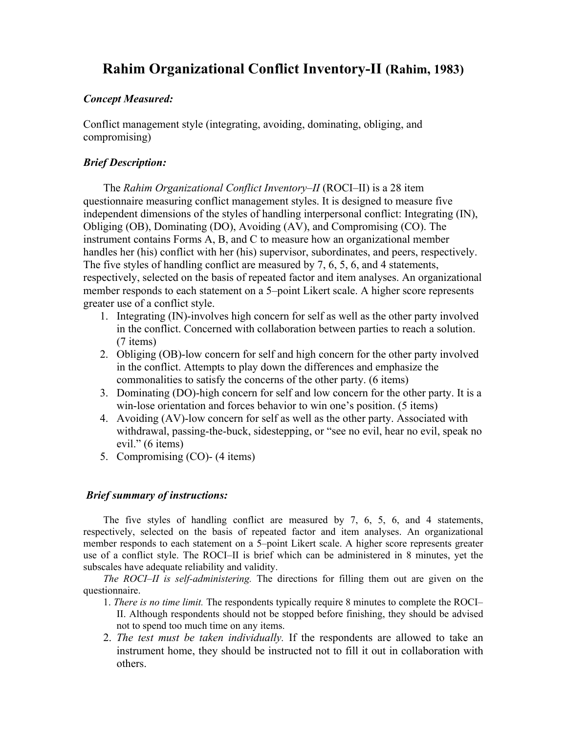# **Rahim Organizational Conflict Inventory-II (Rahim, 1983)**

#### *Concept Measured:*

Conflict management style (integrating, avoiding, dominating, obliging, and compromising)

## *Brief Description:*

The *Rahim Organizational Conflict Inventory–II* (ROCI–II) is a 28 item questionnaire measuring conflict management styles. It is designed to measure five independent dimensions of the styles of handling interpersonal conflict: Integrating (IN), Obliging (OB), Dominating (DO), Avoiding (AV), and Compromising (CO). The instrument contains Forms A, B, and C to measure how an organizational member handles her (his) conflict with her (his) supervisor, subordinates, and peers, respectively. The five styles of handling conflict are measured by 7, 6, 5, 6, and 4 statements, respectively, selected on the basis of repeated factor and item analyses. An organizational member responds to each statement on a 5–point Likert scale. A higher score represents greater use of a conflict style.

- 1. Integrating (IN)-involves high concern for self as well as the other party involved in the conflict. Concerned with collaboration between parties to reach a solution. (7 items)
- 2. Obliging (OB)-low concern for self and high concern for the other party involved in the conflict. Attempts to play down the differences and emphasize the commonalities to satisfy the concerns of the other party. (6 items)
- 3. Dominating (DO)-high concern for self and low concern for the other party. It is a win-lose orientation and forces behavior to win one's position. (5 items)
- 4. Avoiding (AV)-low concern for self as well as the other party. Associated with withdrawal, passing-the-buck, sidestepping, or "see no evil, hear no evil, speak no evil." (6 items)
- 5. Compromising (CO)- (4 items)

#### *Brief summary of instructions:*

The five styles of handling conflict are measured by 7, 6, 5, 6, and 4 statements, respectively, selected on the basis of repeated factor and item analyses. An organizational member responds to each statement on a 5–point Likert scale. A higher score represents greater use of a conflict style. The ROCI–II is brief which can be administered in 8 minutes, yet the subscales have adequate reliability and validity.

*The ROCI*–*II is self-administering.* The directions for filling them out are given on the questionnaire.

- 1. *There is no time limit.* The respondents typically require 8 minutes to complete the ROCI– II. Although respondents should not be stopped before finishing, they should be advised not to spend too much time on any items.
- 2. *The test must be taken individually.* If the respondents are allowed to take an instrument home, they should be instructed not to fill it out in collaboration with others.